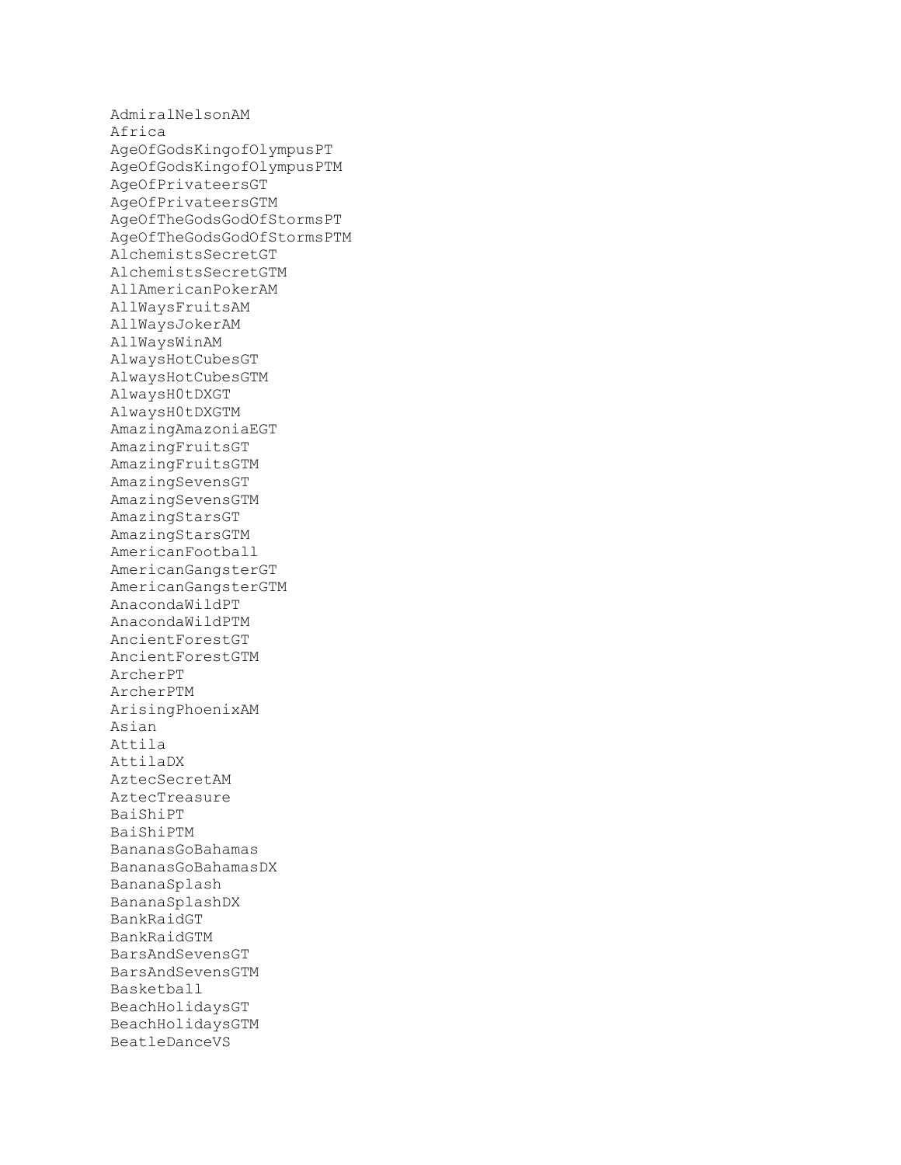AdmiralNelsonAM Africa AgeOfGodsKingofOlympusPT AgeOfGodsKingofOlympusPTM AgeOfPrivateersGT AgeOfPrivateersGTM AgeOfTheGodsGodOfStormsPT AgeOfTheGodsGodOfStormsPTM AlchemistsSecretGT AlchemistsSecretGTM AllAmericanPokerAM AllWaysFruitsAM AllWaysJokerAM AllWaysWinAM AlwaysHotCubesGT AlwaysHotCubesGTM AlwaysH0tDXGT AlwaysH0tDXGTM AmazingAmazoniaEGT AmazingFruitsGT AmazingFruitsGTM AmazingSevensGT AmazingSevensGTM AmazingStarsGT AmazingStarsGTM AmericanFootball AmericanGangsterGT AmericanGangsterGTM AnacondaWildPT AnacondaWildPTM AncientForestGT AncientForestGTM ArcherPT ArcherPTM ArisingPhoenixAM Asian Attila AttilaDX AztecSecretAM AztecTreasure BaiShiPT BaiShiPTM BananasGoBahamas BananasGoBahamasDX BananaSplash BananaSplashDX BankRaidGT BankRaidGTM BarsAndSevensGT BarsAndSevensGTM Basketball BeachHolidaysGT BeachHolidaysGTM BeatleDanceVS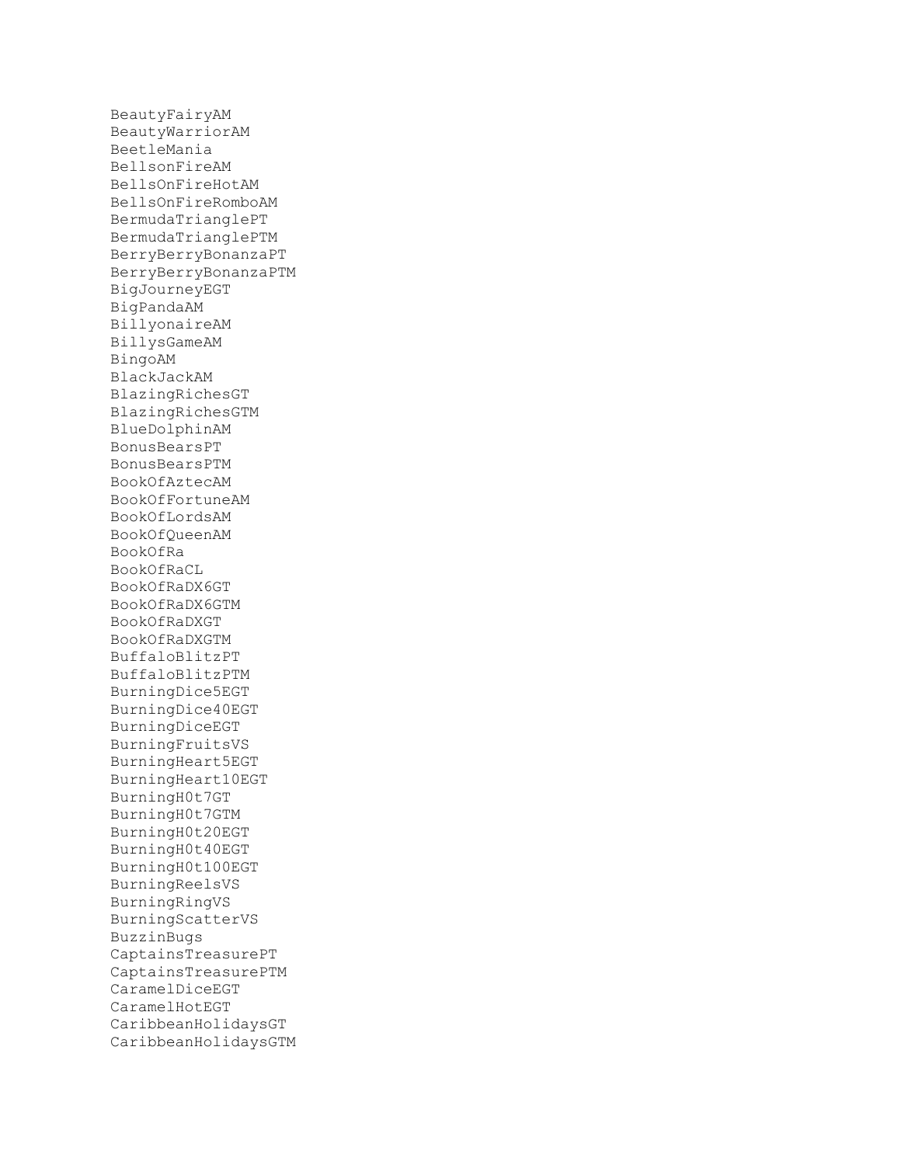BeautyFairyAM BeautyWarriorAM BeetleMania BellsonFireAM BellsOnFireHotAM BellsOnFireRomboAM BermudaTrianglePT BermudaTrianglePTM BerryBerryBonanzaPT BerryBerryBonanzaPTM BigJourneyEGT BigPandaAM BillyonaireAM BillysGameAM BingoAM BlackJackAM BlazingRichesGT BlazingRichesGTM BlueDolphinAM BonusBearsPT BonusBearsPTM BookOfAztecAM BookOfFortuneAM BookOfLordsAM BookOfQueenAM BookOfRa BookOfRaCL BookOfRaDX6GT BookOfRaDX6GTM BookOfRaDXGT BookOfRaDXGTM BuffaloBlitzPT BuffaloBlitzPTM BurningDice5EGT BurningDice40EGT BurningDiceEGT BurningFruitsVS BurningHeart5EGT BurningHeart10EGT BurningH0t7GT BurningH0t7GTM BurningH0t20EGT BurningH0t40EGT BurningH0t100EGT BurningReelsVS BurningRingVS BurningScatterVS BuzzinBugs CaptainsTreasurePT CaptainsTreasurePTM CaramelDiceEGT CaramelHotEGT CaribbeanHolidaysGT CaribbeanHolidaysGTM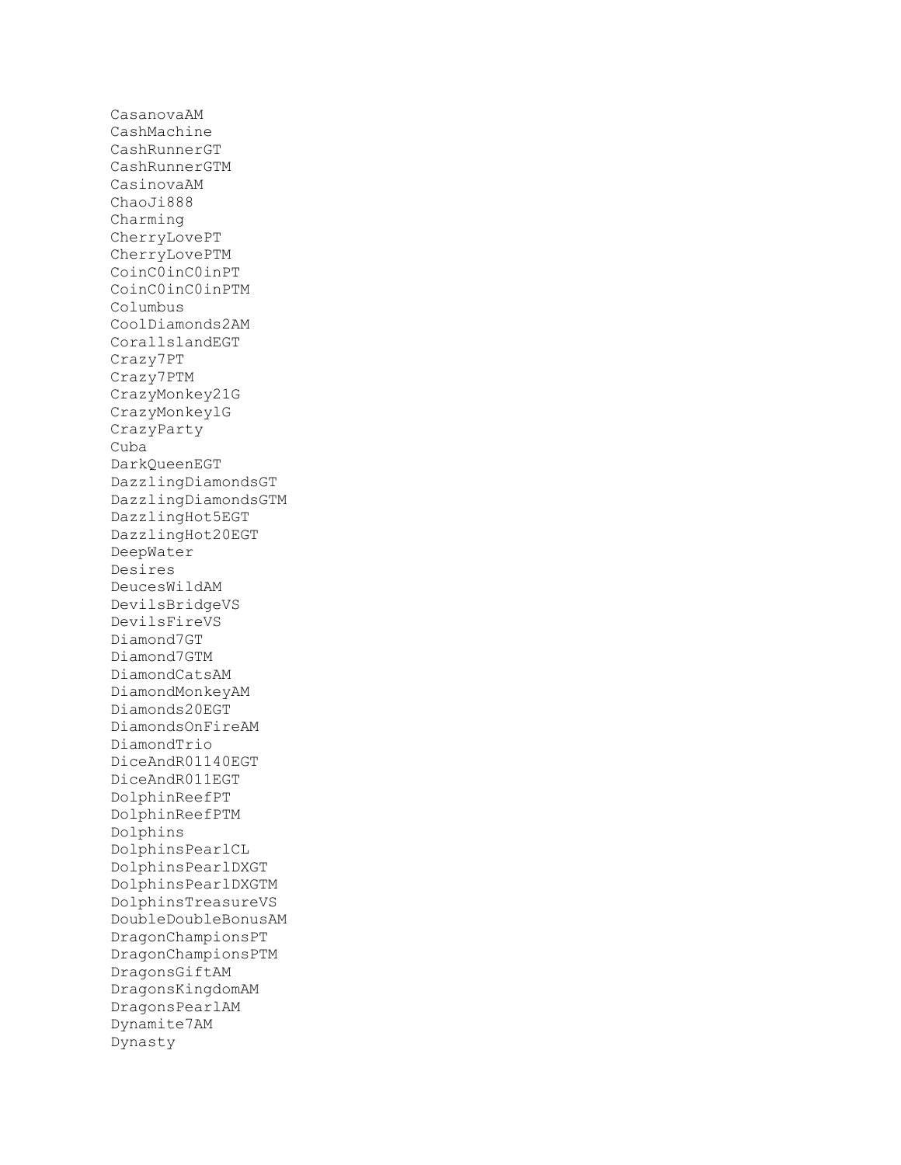CasanovaAM CashMachine CashRunnerGT CashRunnerGTM CasinovaAM ChaoJi888 Charming CherryLovePT CherryLovePTM CoinC0inC0inPT CoinC0inC0inPTM Columbus CoolDiamonds2AM CorallslandEGT Crazy7PT Crazy7PTM CrazyMonkey21G CrazyMonkeylG CrazyParty Cuba DarkQueenEGT DazzlingDiamondsGT DazzlingDiamondsGTM DazzlingHot5EGT DazzlingHot20EGT DeepWater Desires DeucesWildAM DevilsBridgeVS DevilsFireVS Diamond7GT Diamond7GTM DiamondCatsAM DiamondMonkeyAM Diamonds20EGT DiamondsOnFireAM DiamondTrio DiceAndR01140EGT DiceAndR011EGT DolphinReefPT DolphinReefPTM Dolphins DolphinsPearlCL DolphinsPearlDXGT DolphinsPearlDXGTM DolphinsTreasureVS DoubleDoubleBonusAM DragonChampionsPT DragonChampionsPTM DragonsGiftAM DragonsKingdomAM DragonsPearlAM Dynamite7AM Dynasty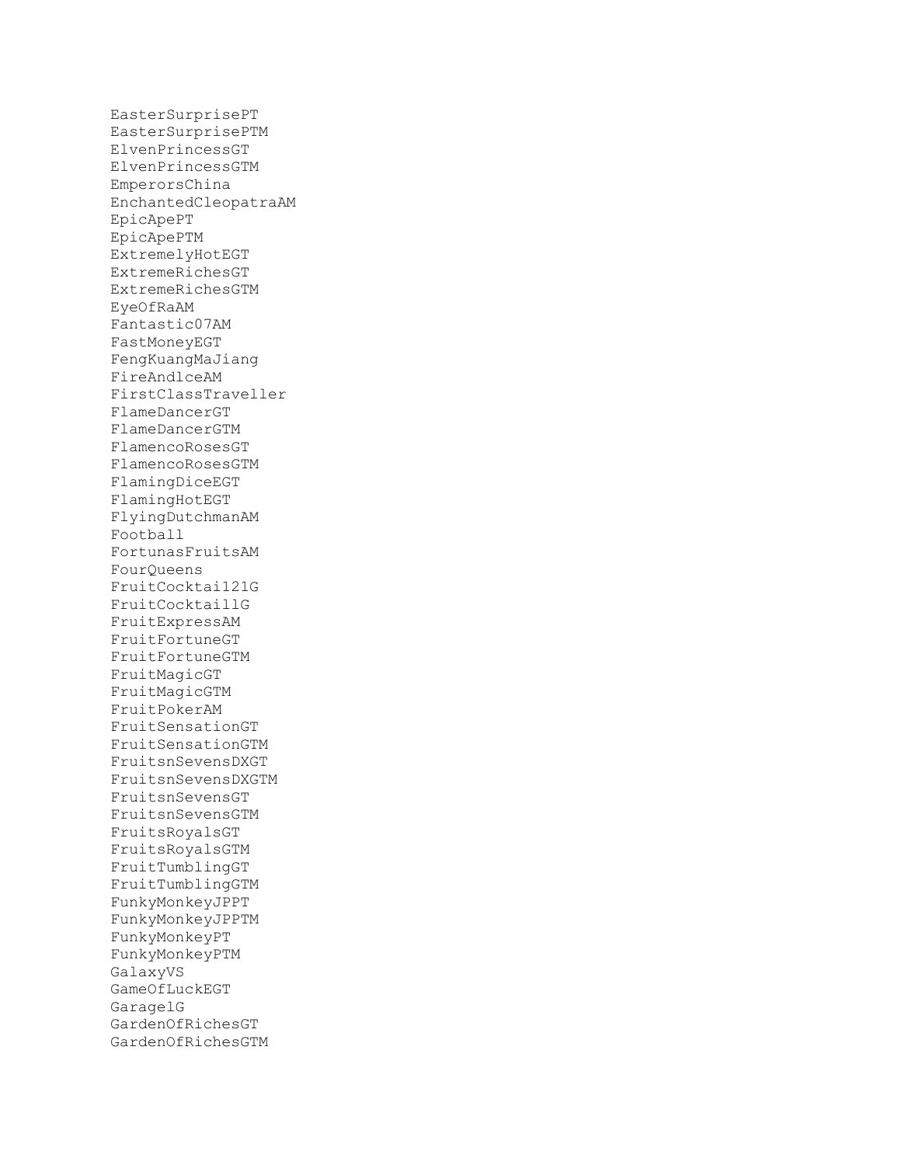EasterSurprisePT EasterSurprisePTM ElvenPrincessGT ElvenPrincessGTM EmperorsChina EnchantedCleopatraAM EpicApePT EpicApePTM ExtremelyHotEGT ExtremeRichesGT ExtremeRichesGTM EyeOfRaAM Fantastic07AM FastMoneyEGT FengKuangMaJiang FireAndlceAM FirstClassTraveller FlameDancerGT FlameDancerGTM FlamencoRosesGT FlamencoRosesGTM FlamingDiceEGT FlamingHotEGT FlyingDutchmanAM Football FortunasFruitsAM FourQueens FruitCocktai121G FruitCocktaillG FruitExpressAM FruitFortuneGT FruitFortuneGTM FruitMagicGT FruitMagicGTM FruitPokerAM FruitSensationGT FruitSensationGTM FruitsnSevensDXGT FruitsnSevensDXGTM FruitsnSevensGT FruitsnSevensGTM FruitsRoyalsGT FruitsRoyalsGTM FruitTumblingGT FruitTumblingGTM FunkyMonkeyJPPT FunkyMonkeyJPPTM FunkyMonkeyPT FunkyMonkeyPTM GalaxyVS GameOfLuckEGT GaragelG GardenOfRichesGT GardenOfRichesGTM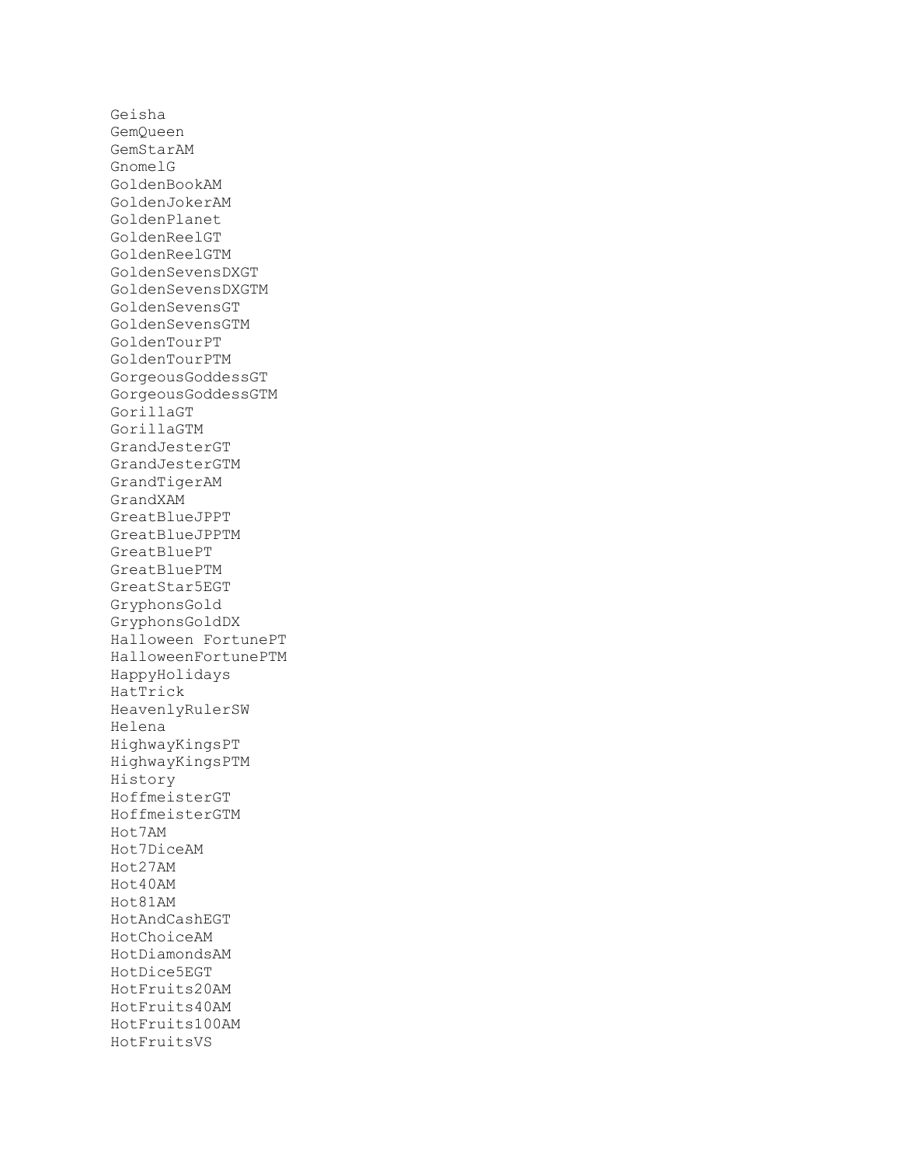Geisha GemQueen GemStarAM GnomelG GoldenBookAM GoldenJokerAM GoldenPlanet GoldenReelGT GoldenReelGTM GoldenSevensDXGT GoldenSevensDXGTM GoldenSevensGT GoldenSevensGTM GoldenTourPT GoldenTourPTM GorgeousGoddessGT GorgeousGoddessGTM GorillaGT GorillaGTM GrandJesterGT GrandJesterGTM GrandTigerAM GrandXAM GreatBlueJPPT GreatBlueJPPTM GreatBluePT GreatBluePTM GreatStar5EGT GryphonsGold GryphonsGoldDX Halloween FortunePT HalloweenFortunePTM HappyHolidays HatTrick HeavenlyRulerSW Helena HighwayKingsPT HighwayKingsPTM History HoffmeisterGT HoffmeisterGTM Hot7AM Hot7DiceAM Hot27AM Hot40AM Hot81AM HotAndCashEGT HotChoiceAM HotDiamondsAM HotDice5EGT HotFruits20AM HotFruits40AM HotFruits100AM HotFruitsVS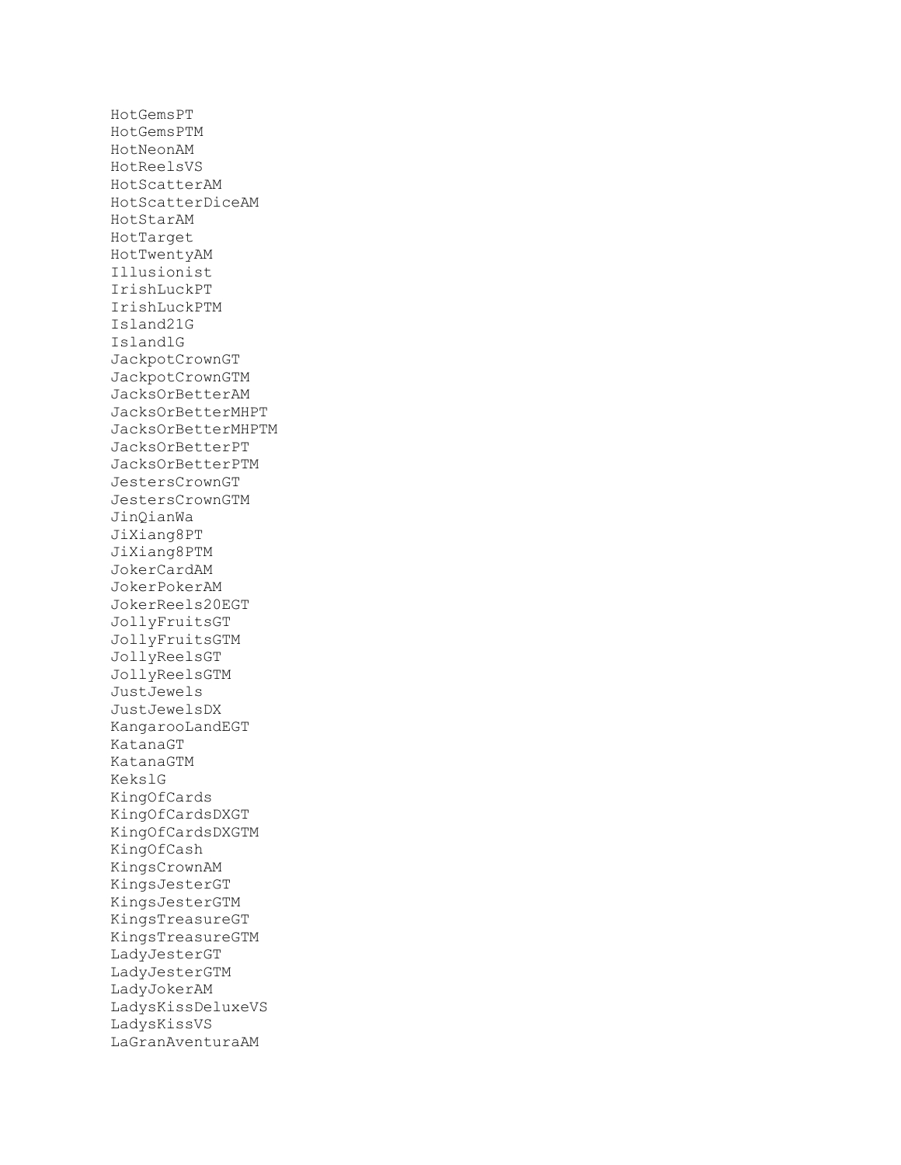HotGemsPT HotGemsPTM HotNeonAM HotReelsVS HotScatterAM HotScatterDiceAM HotStarAM HotTarget HotTwentyAM Illusionist IrishLuckPT IrishLuckPTM Island21G IslandlG JackpotCrownGT JackpotCrownGTM JacksOrBetterAM JacksOrBetterMHPT JacksOrBetterMHPTM JacksOrBetterPT JacksOrBetterPTM JestersCrownGT JestersCrownGTM JinQianWa JiXiang8PT JiXiang8PTM JokerCardAM JokerPokerAM JokerReels20EGT JollyFruitsGT JollyFruitsGTM JollyReelsGT JollyReelsGTM JustJewels JustJewelsDX KangarooLandEGT KatanaGT KatanaGTM KekslG KingOfCards KingOfCardsDXGT KingOfCardsDXGTM KingOfCash KingsCrownAM KingsJesterGT KingsJesterGTM KingsTreasureGT KingsTreasureGTM LadyJesterGT LadyJesterGTM LadyJokerAM LadysKissDeluxeVS LadysKissVS LaGranAventuraAM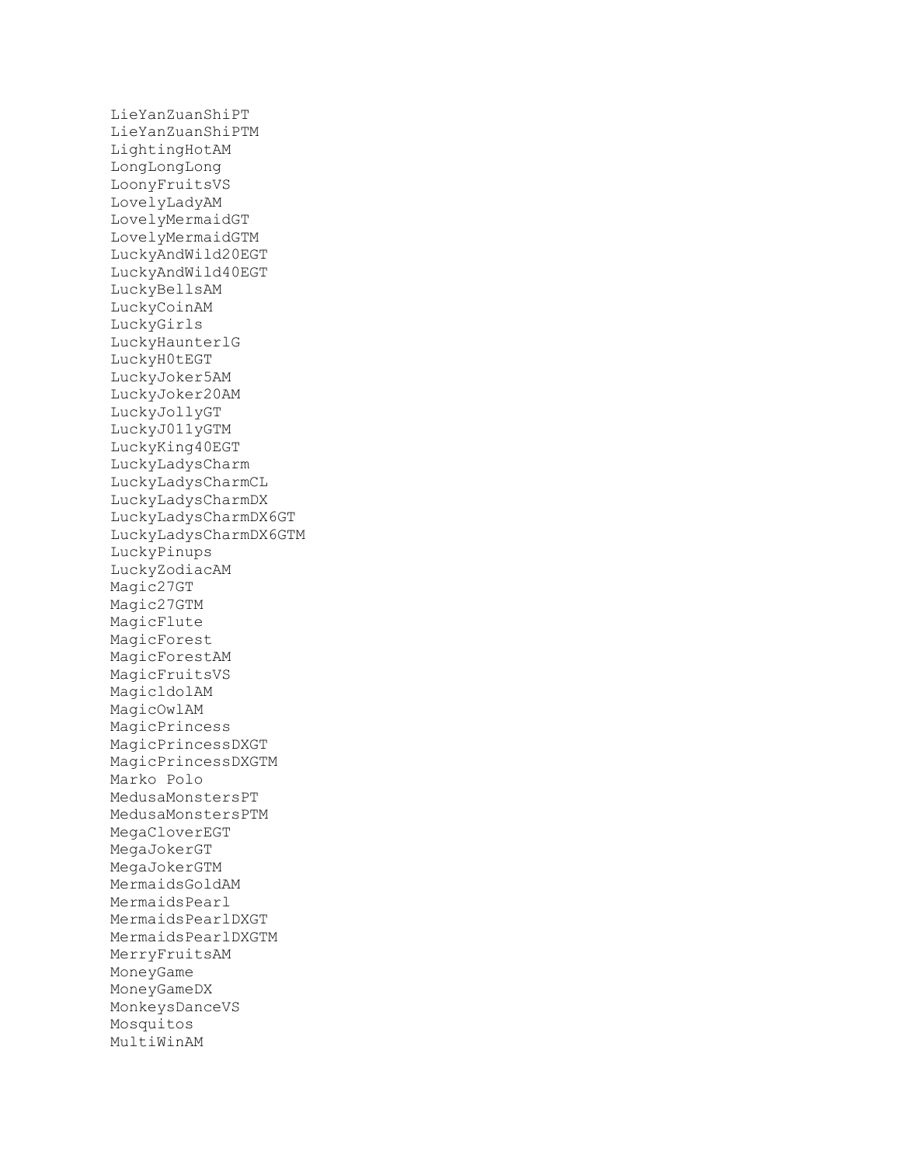LieYanZuanShiPT LieYanZuanShiPTM LightingHotAM LongLongLong LoonyFruitsVS LovelyLadyAM LovelyMermaidGT LovelyMermaidGTM LuckyAndWild20EGT LuckyAndWild40EGT LuckyBellsAM LuckyCoinAM LuckyGirls LuckyHaunterlG LuckyH0tEGT LuckyJoker5AM LuckyJoker20AM LuckyJollyGT LuckyJ011yGTM LuckyKing40EGT LuckyLadysCharm LuckyLadysCharmCL LuckyLadysCharmDX LuckyLadysCharmDX6GT LuckyLadysCharmDX6GTM LuckyPinups LuckyZodiacAM Magic27GT Magic27GTM MagicFlute MagicForest MagicForestAM MagicFruitsVS MagicldolAM MagicOwlAM MagicPrincess MagicPrincessDXGT MagicPrincessDXGTM Marko Polo MedusaMonstersPT MedusaMonstersPTM MegaCloverEGT MegaJokerGT MegaJokerGTM MermaidsGoldAM MermaidsPearl MermaidsPearlDXGT MermaidsPearlDXGTM MerryFruitsAM MoneyGame MoneyGameDX MonkeysDanceVS Mosquitos MultiWinAM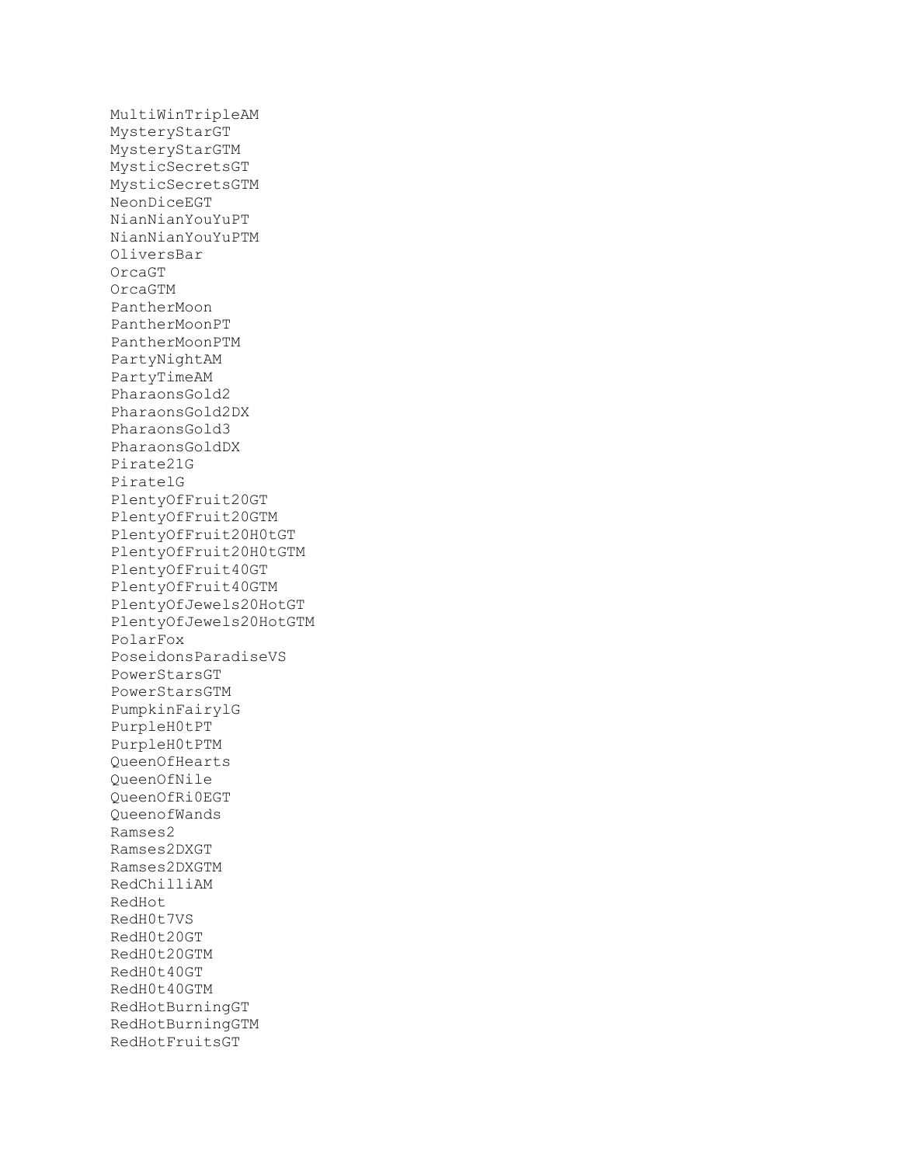MultiWinTripleAM MysteryStarGT MysteryStarGTM MysticSecretsGT MysticSecretsGTM NeonDiceEGT NianNianYouYuPT NianNianYouYuPTM OliversBar OrcaGT OrcaGTM PantherMoon PantherMoonPT PantherMoonPTM PartyNightAM PartyTimeAM PharaonsGold2 PharaonsGold2DX PharaonsGold3 PharaonsGoldDX Pirate21G PiratelG PlentyOfFruit20GT PlentyOfFruit20GTM PlentyOfFruit20H0tGT PlentyOfFruit20H0tGTM PlentyOfFruit40GT PlentyOfFruit40GTM PlentyOfJewels20HotGT PlentyOfJewels20HotGTM PolarFox PoseidonsParadiseVS PowerStarsGT PowerStarsGTM PumpkinFairylG PurpleH0tPT PurpleH0tPTM QueenOfHearts QueenOfNile QueenOfRi0EGT QueenofWands Ramses2 Ramses2DXGT Ramses2DXGTM RedChilliAM RedHot RedH0t7VS RedH0t20GT RedH0t20GTM RedH0t40GT RedH0t40GTM RedHotBurningGT RedHotBurningGTM RedHotFruitsGT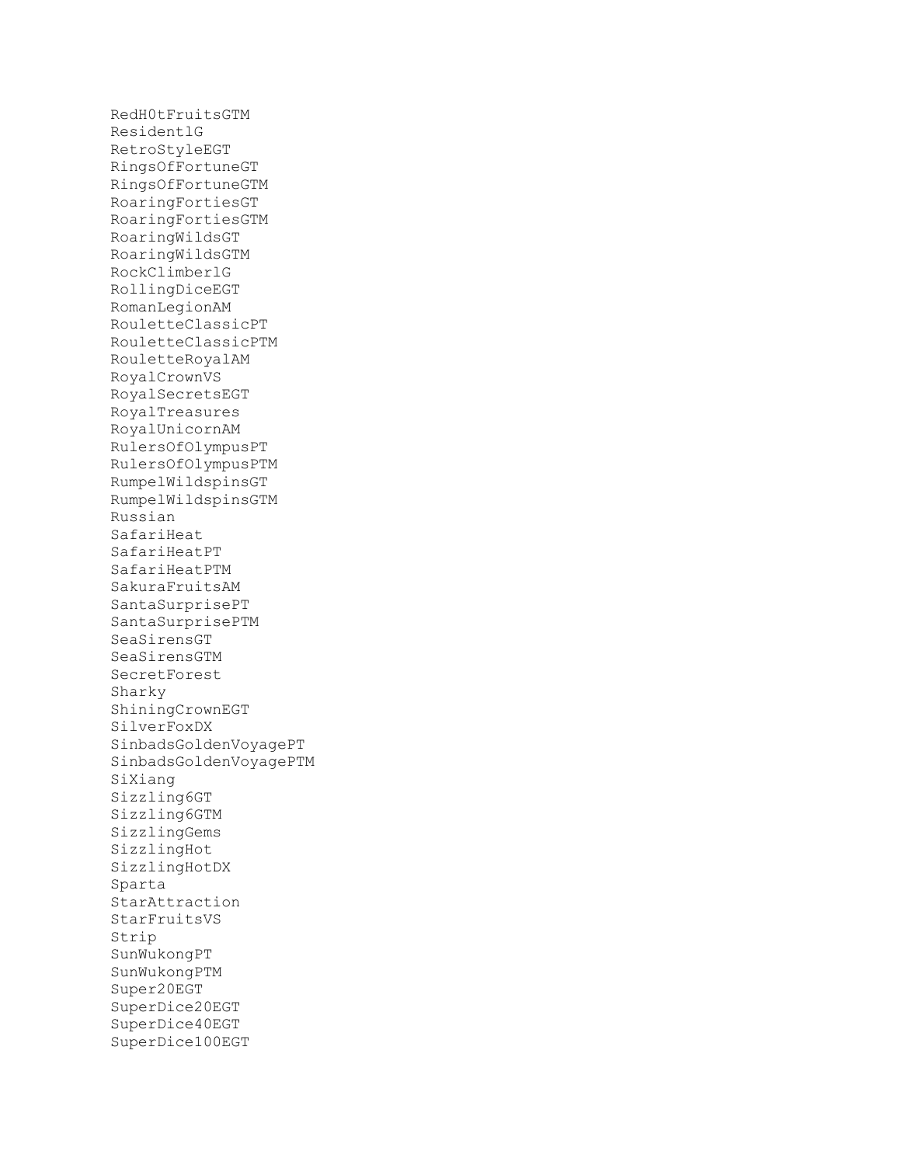RedH0tFruitsGTM ResidentlG RetroStyleEGT RingsOfFortuneGT RingsOfFortuneGTM RoaringFortiesGT RoaringFortiesGTM RoaringWildsGT RoaringWildsGTM RockClimberlG RollingDiceEGT RomanLegionAM RouletteClassicPT RouletteClassicPTM RouletteRoyalAM RoyalCrownVS RoyalSecretsEGT RoyalTreasures RoyalUnicornAM RulersOfOlympusPT RulersOfOlympusPTM RumpelWildspinsGT RumpelWildspinsGTM Russian SafariHeat SafariHeatPT SafariHeatPTM SakuraFruitsAM SantaSurprisePT SantaSurprisePTM SeaSirensGT SeaSirensGTM SecretForest Sharky ShiningCrownEGT SilverFoxDX SinbadsGoldenVoyagePT SinbadsGoldenVoyagePTM SiXiang Sizzling6GT Sizzling6GTM SizzlingGems SizzlingHot SizzlingHotDX Sparta StarAttraction StarFruitsVS Strip SunWukongPT SunWukongPTM Super20EGT SuperDice20EGT SuperDice40EGT SuperDice100EGT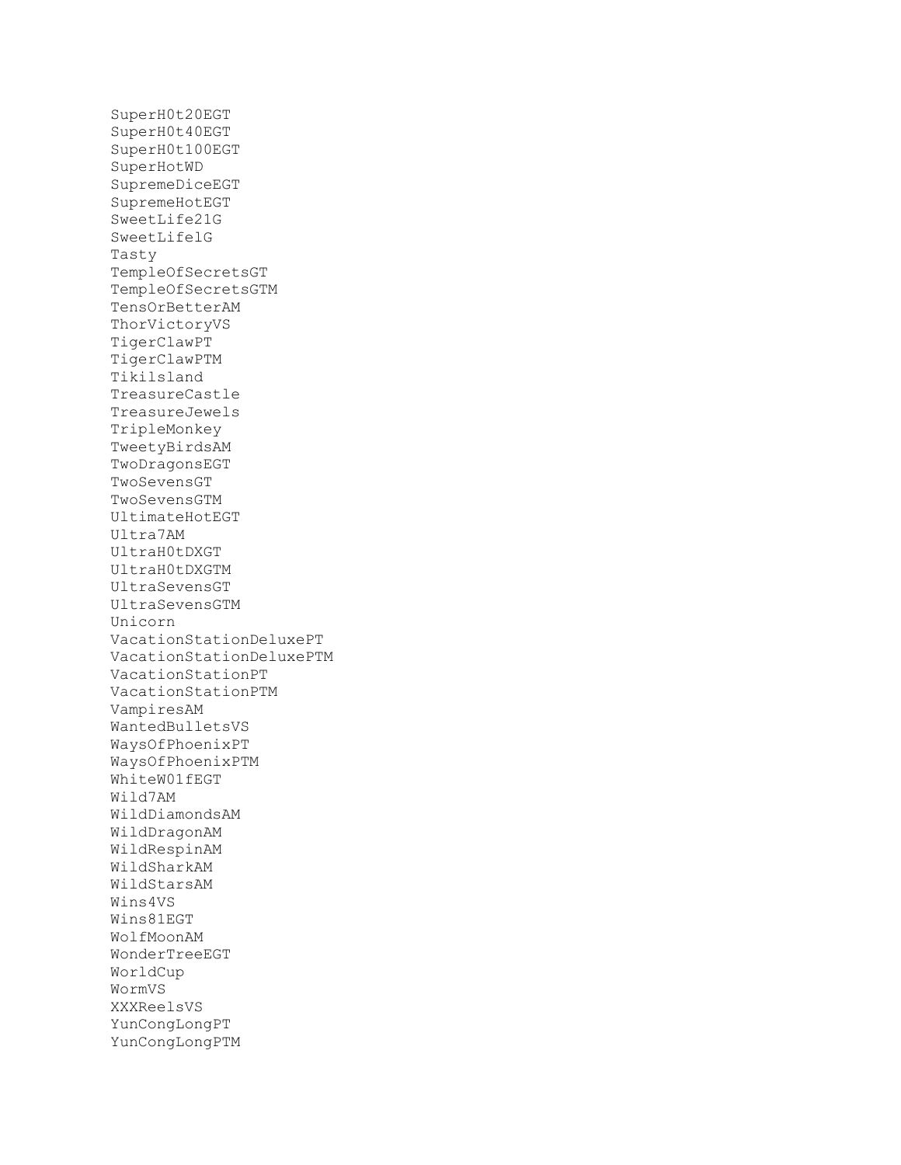SuperH0t20EGT SuperH0t40EGT SuperH0t100EGT SuperHotWD SupremeDiceEGT SupremeHotEGT SweetLife21G SweetLifelG Tasty TempleOfSecretsGT TempleOfSecretsGTM TensOrBetterAM ThorVictoryVS TigerClawPT TigerClawPTM Tikilsland TreasureCastle TreasureJewels TripleMonkey TweetyBirdsAM TwoDragonsEGT TwoSevensGT TwoSevensGTM UltimateHotEGT Ultra7AM UltraH0tDXGT UltraH0tDXGTM UltraSevensGT UltraSevensGTM Unicorn VacationStationDeluxePT VacationStationDeluxePTM VacationStationPT VacationStationPTM VampiresAM WantedBulletsVS WaysOfPhoenixPT WaysOfPhoenixPTM WhiteW01fEGT Wild7AM WildDiamondsAM WildDragonAM WildRespinAM WildSharkAM WildStarsAM Wins4VS Wins81EGT WolfMoonAM WonderTreeEGT WorldCup WormVS XXXReelsVS YunCongLongPT YunCongLongPTM